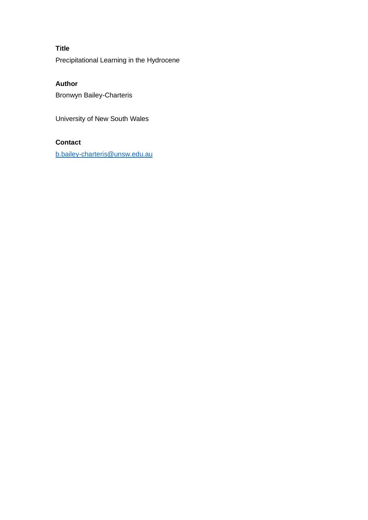# **Title**

Precipitational Learning in the Hydrocene

## **Author**

Bronwyn Bailey-Charteris

University of New South Wales

# **Contact**

[b.bailey-charteris@unsw.edu.au](mailto:b.bailey-charteris@unsw.edu.au)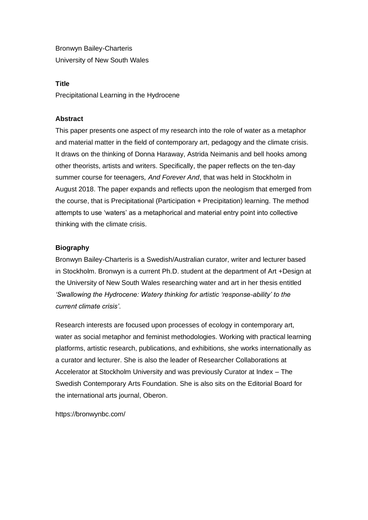Bronwyn Bailey-Charteris University of New South Wales

#### **Title**

Precipitational Learning in the Hydrocene

### **Abstract**

This paper presents one aspect of my research into the role of water as a metaphor and material matter in the field of contemporary art, pedagogy and the climate crisis. It draws on the thinking of Donna Haraway, Astrida Neimanis and bell hooks among other theorists, artists and writers. Specifically, the paper reflects on the ten-day summer course for teenagers*, And Forever And*, that was held in Stockholm in August 2018. The paper expands and reflects upon the neologism that emerged from the course, that is Precipitational (Participation + Precipitation) learning. The method attempts to use 'waters' as a metaphorical and material entry point into collective thinking with the climate crisis.

#### **Biography**

Bronwyn Bailey-Charteris is a Swedish/Australian curator, writer and lecturer based in Stockholm. Bronwyn is a current Ph.D. student at the department of Art +Design at the University of New South Wales researching water and art in her thesis entitled *'Swallowing the Hydrocene: Watery thinking for artistic 'response-ability' to the current climate crisis'*.

Research interests are focused upon processes of ecology in contemporary art, water as social metaphor and feminist methodologies. Working with practical learning platforms, artistic research, publications, and exhibitions, she works internationally as a curator and lecturer. She is also the leader of Researcher Collaborations at Accelerator at Stockholm University and was previously Curator at Index – The Swedish Contemporary Arts Foundation. She is also sits on the Editorial Board for the international arts journal, Oberon.

https://bronwynbc.com/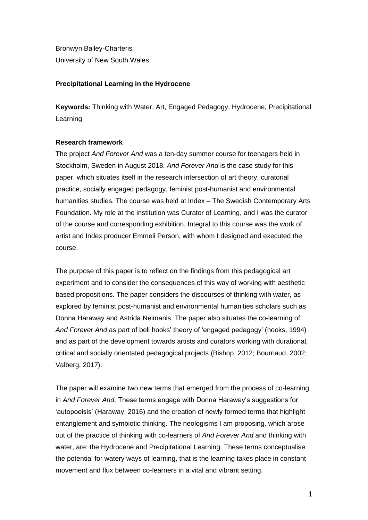Bronwyn Bailey-Charteris University of New South Wales

## **Precipitational Learning in the Hydrocene**

**Keywords***:* Thinking with Water, Art, Engaged Pedagogy, Hydrocene, Precipitational Learning

#### **Research framework**

The project *And Forever And* was a ten-day summer course for teenagers held in Stockholm, Sweden in August 2018. *And Forever And* is the case study for this paper, which situates itself in the research intersection of art theory, curatorial practice, socially engaged pedagogy, feminist post-humanist and environmental humanities studies. The course was held at Index – The Swedish Contemporary Arts Foundation. My role at the institution was Curator of Learning, and I was the curator of the course and corresponding exhibition. Integral to this course was the work of artist and Index producer Emmeli Person, with whom I designed and executed the course.

The purpose of this paper is to reflect on the findings from this pedagogical art experiment and to consider the consequences of this way of working with aesthetic based propositions. The paper considers the discourses of thinking with water, as explored by feminist post-humanist and environmental humanities scholars such as Donna Haraway and Astrida Neimanis. The paper also situates the co-learning of *And Forever And* as part of bell hooks' theory of 'engaged pedagogy' (hooks, 1994) and as part of the development towards artists and curators working with durational, critical and socially orientated pedagogical projects (Bishop, 2012; Bourriaud, 2002; Valberg, 2017).

The paper will examine two new terms that emerged from the process of co-learning in *And Forever And*. These terms engage with Donna Haraway's suggestions for 'autopoeisis' (Haraway, 2016) and the creation of newly formed terms that highlight entanglement and symbiotic thinking. The neologisms I am proposing, which arose out of the practice of thinking with co-learners of *And Forever And* and thinking with water, are: the Hydrocene and Precipitational Learning. These terms conceptualise the potential for watery ways of learning, that is the learning takes place in constant movement and flux between co-learners in a vital and vibrant setting.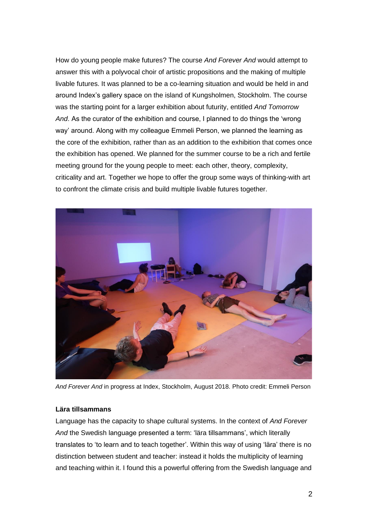How do young people make futures? The course *And Forever And* would attempt to answer this with a polyvocal choir of artistic propositions and the making of multiple livable futures. It was planned to be a co-learning situation and would be held in and around Index's gallery space on the island of Kungsholmen, Stockholm. The course was the starting point for a larger exhibition about futurity, entitled *And Tomorrow And*. As the curator of the exhibition and course, I planned to do things the 'wrong way' around. Along with my colleague Emmeli Person, we planned the learning as the core of the exhibition, rather than as an addition to the exhibition that comes once the exhibition has opened. We planned for the summer course to be a rich and fertile meeting ground for the young people to meet: each other, theory, complexity, criticality and art. Together we hope to offer the group some ways of thinking-with art to confront the climate crisis and build multiple livable futures together.



*And Forever And* in progress at Index, Stockholm, August 2018. Photo credit: Emmeli Person

## **Lära tillsammans**

Language has the capacity to shape cultural systems. In the context of *And Forever And* the Swedish language presented a term: 'lära tillsammans', which literally translates to 'to learn and to teach together'. Within this way of using 'lära' there is no distinction between student and teacher: instead it holds the multiplicity of learning and teaching within it. I found this a powerful offering from the Swedish language and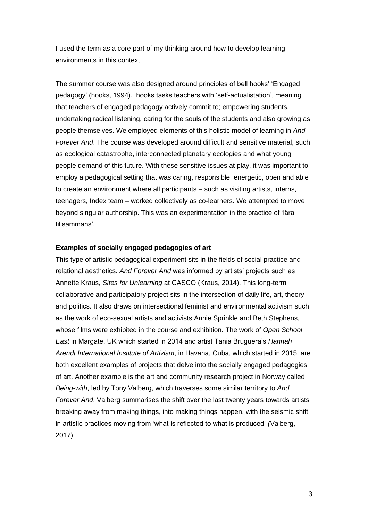I used the term as a core part of my thinking around how to develop learning environments in this context.

The summer course was also designed around principles of bell hooks' 'Engaged pedagogy' (hooks, 1994). hooks tasks teachers with 'self-actualistation', meaning that teachers of engaged pedagogy actively commit to; empowering students, undertaking radical listening, caring for the souls of the students and also growing as people themselves. We employed elements of this holistic model of learning in *And Forever And*. The course was developed around difficult and sensitive material, such as ecological catastrophe, interconnected planetary ecologies and what young people demand of this future. With these sensitive issues at play, it was important to employ a pedagogical setting that was caring, responsible, energetic, open and able to create an environment where all participants – such as visiting artists, interns, teenagers, Index team – worked collectively as co-learners. We attempted to move beyond singular authorship. This was an experimentation in the practice of 'lära tillsammans'.

#### **Examples of socially engaged pedagogies of art**

This type of artistic pedagogical experiment sits in the fields of social practice and relational aesthetics. *And Forever And* was informed by artists' projects such as Annette Kraus, *Sites for Unlearning* at CASCO (Kraus, 2014). This long-term collaborative and participatory project sits in the intersection of daily life, art, theory and politics. It also draws on intersectional feminist and environmental activism such as the work of eco-sexual artists and activists Annie Sprinkle and Beth Stephens, whose films were exhibited in the course and exhibition. The work of *Open School East* in Margate, UK which started in 2014 and artist Tania Bruguera's *Hannah Arendt International Institute of Artivism*, in Havana, Cuba, which started in 2015, are both excellent examples of projects that delve into the socially engaged pedagogies of art. Another example is the art and community research project in Norway called *Being-with*, led by Tony Valberg, which traverses some similar territory to *And Forever And*. Valberg summarises the shift over the last twenty years towards artists breaking away from making things, into making things happen, with the seismic shift in artistic practices moving from 'what is reflected to what is produced' *(*Valberg, 2017).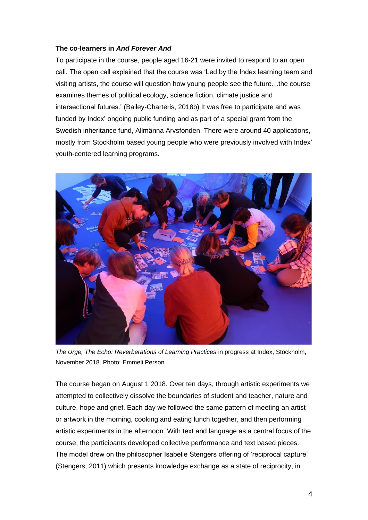## **The co-learners in** *And Forever And*

To participate in the course, people aged 16-21 were invited to respond to an open call. The open call explained that the course was 'Led by the Index learning team and visiting artists, the course will question how young people see the future…the course examines themes of political ecology, science fiction, climate justice and intersectional futures.' (Bailey-Charteris, 2018b) It was free to participate and was funded by Index' ongoing public funding and as part of a special grant from the Swedish inheritance fund, Allmänna Arvsfonden. There were around 40 applications, mostly from Stockholm based young people who were previously involved with Index' youth-centered learning programs.



*The Urge, The Echo: Reverberations of Learning Practices* in progress at Index, Stockholm, November 2018. Photo: Emmeli Person

The course began on August 1 2018. Over ten days, through artistic experiments we attempted to collectively dissolve the boundaries of student and teacher, nature and culture, hope and grief. Each day we followed the same pattern of meeting an artist or artwork in the morning, cooking and eating lunch together, and then performing artistic experiments in the afternoon. With text and language as a central focus of the course, the participants developed collective performance and text based pieces. The model drew on the philosopher Isabelle Stengers offering of 'reciprocal capture' (Stengers, 2011) which presents knowledge exchange as a state of reciprocity, in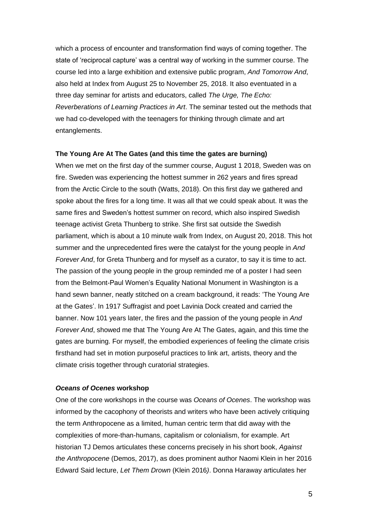which a process of encounter and transformation find ways of coming together. The state of 'reciprocal capture' was a central way of working in the summer course. The course led into a large exhibition and extensive public program, *And Tomorrow And*, also held at Index from August 25 to November 25, 2018. It also eventuated in a three day seminar for artists and educators, called *The Urge, The Echo: Reverberations of Learning Practices in Art*. The seminar tested out the methods that we had co-developed with the teenagers for thinking through climate and art entanglements.

#### **The Young Are At The Gates (and this time the gates are burning)**

When we met on the first day of the summer course, August 1 2018, Sweden was on fire. Sweden was experiencing the hottest summer in 262 years and fires spread from the Arctic Circle to the south (Watts, 2018). On this first day we gathered and spoke about the fires for a long time. It was all that we could speak about. It was the same fires and Sweden's hottest summer on record, which also inspired Swedish teenage activist Greta Thunberg to strike. She first sat outside the Swedish parliament, which is about a 10 minute walk from Index, on August 20, 2018. This hot summer and the unprecedented fires were the catalyst for the young people in *And Forever And*, for Greta Thunberg and for myself as a curator, to say it is time to act. The passion of the young people in the group reminded me of a poster I had seen from the Belmont-Paul Women's Equality National Monument in Washington is a hand sewn banner, neatly stitched on a cream background, it reads: 'The Young Are at the Gates'. In 1917 Suffragist and poet Lavinia Dock created and carried the banner. Now 101 years later, the fires and the passion of the young people in *And Forever And*, showed me that The Young Are At The Gates, again, and this time the gates are burning. For myself, the embodied experiences of feeling the climate crisis firsthand had set in motion purposeful practices to link art, artists, theory and the climate crisis together through curatorial strategies.

#### *Oceans of Ocenes* **workshop**

One of the core workshops in the course was *Oceans of Ocenes*. The workshop was informed by the cacophony of theorists and writers who have been actively critiquing the term Anthropocene as a limited, human centric term that did away with the complexities of more-than-humans, capitalism or colonialism, for example. Art historian TJ Demos articulates these concerns precisely in his short book, *Against the Anthropocene* (Demos, 2017), as does prominent author Naomi Klein in her 2016 Edward Said lecture, *Let Them Drown* (Klein 2016*)*. Donna Haraway articulates her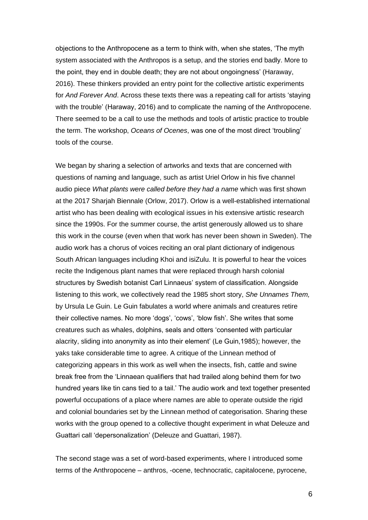objections to the Anthropocene as a term to think with, when she states, 'The myth system associated with the Anthropos is a setup, and the stories end badly. More to the point, they end in double death; they are not about ongoingness' (Haraway, 2016). These thinkers provided an entry point for the collective artistic experiments for *And Forever And*. Across these texts there was a repeating call for artists 'staying with the trouble' (Haraway, 2016) and to complicate the naming of the Anthropocene. There seemed to be a call to use the methods and tools of artistic practice to trouble the term. The workshop, *Oceans of Ocenes*, was one of the most direct 'troubling' tools of the course.

We began by sharing a selection of artworks and texts that are concerned with questions of naming and language, such as artist Uriel Orlow in his five channel audio piece *What plants were called before they had a name* which was first shown at the 2017 Sharjah Biennale (Orlow, 2017). Orlow is a well-established international artist who has been dealing with ecological issues in his extensive artistic research since the 1990s. For the summer course, the artist generously allowed us to share this work in the course (even when that work has never been shown in Sweden). The audio work has a chorus of voices reciting an oral plant dictionary of indigenous South African languages including Khoi and isiZulu. It is powerful to hear the voices recite the Indigenous plant names that were replaced through harsh colonial structures by Swedish botanist Carl Linnaeus' system of classification. Alongside listening to this work, we collectively read the 1985 short story, *She Unnames Them,* by Ursula Le Guin. Le Guin fabulates a world where animals and creatures retire their collective names. No more 'dogs', 'cows', 'blow fish'. She writes that some creatures such as whales, dolphins, seals and otters 'consented with particular alacrity, sliding into anonymity as into their element' (Le Guin,1985); however, the yaks take considerable time to agree. A critique of the Linnean method of categorizing appears in this work as well when the insects, fish, cattle and swine break free from the 'Linnaean qualifiers that had trailed along behind them for two hundred years like tin cans tied to a tail.' The audio work and text together presented powerful occupations of a place where names are able to operate outside the rigid and colonial boundaries set by the Linnean method of categorisation. Sharing these works with the group opened to a collective thought experiment in what Deleuze and Guattari call 'depersonalization' (Deleuze and Guattari, 1987).

The second stage was a set of word-based experiments, where I introduced some terms of the Anthropocene – anthros, -ocene, technocratic, capitalocene, pyrocene,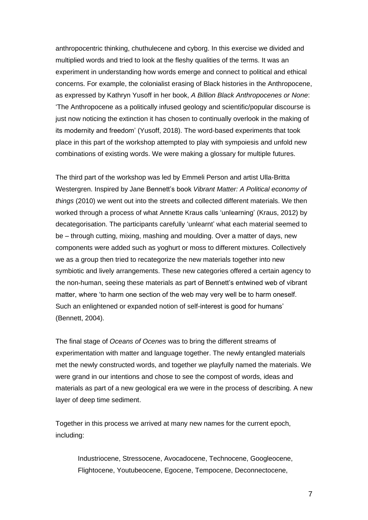anthropocentric thinking, chuthulecene and cyborg. In this exercise we divided and multiplied words and tried to look at the fleshy qualities of the terms. It was an experiment in understanding how words emerge and connect to political and ethical concerns. For example, the colonialist erasing of Black histories in the Anthropocene, as expressed by Kathryn Yusoff in her book, *A Billion Black Anthropocenes or None*: 'The Anthropocene as a politically infused geology and scientific/popular discourse is just now noticing the extinction it has chosen to continually overlook in the making of its modernity and freedom' (Yusoff, 2018). The word-based experiments that took place in this part of the workshop attempted to play with sympoiesis and unfold new combinations of existing words. We were making a glossary for multiple futures.

The third part of the workshop was led by Emmeli Person and artist Ulla-Britta Westergren. Inspired by Jane Bennett's book *Vibrant Matter: A Political economy of things* (2010) we went out into the streets and collected different materials. We then worked through a process of what Annette Kraus calls 'unlearning' (Kraus, 2012) by decategorisation. The participants carefully 'unlearnt' what each material seemed to be – through cutting, mixing, mashing and moulding. Over a matter of days, new components were added such as yoghurt or moss to different mixtures. Collectively we as a group then tried to recategorize the new materials together into new symbiotic and lively arrangements. These new categories offered a certain agency to the non-human, seeing these materials as part of Bennett's entwined web of vibrant matter, where 'to harm one section of the web may very well be to harm oneself. Such an enlightened or expanded notion of self-interest is good for humans' (Bennett, 2004).

The final stage of *Oceans of Ocenes* was to bring the different streams of experimentation with matter and language together. The newly entangled materials met the newly constructed words, and together we playfully named the materials. We were grand in our intentions and chose to see the compost of words, ideas and materials as part of a new geological era we were in the process of describing. A new layer of deep time sediment.

Together in this process we arrived at many new names for the current epoch, including:

Industriocene, Stressocene, Avocadocene, Technocene, Googleocene, Flightocene, Youtubeocene, Egocene, Tempocene, Deconnectocene,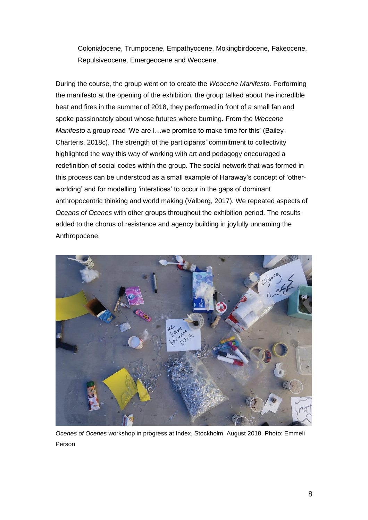Colonialocene, Trumpocene, Empathyocene, Mokingbirdocene, Fakeocene, Repulsiveocene, Emergeocene and Weocene.

During the course, the group went on to create the *Weocene Manifesto*. Performing the manifesto at the opening of the exhibition, the group talked about the incredible heat and fires in the summer of 2018, they performed in front of a small fan and spoke passionately about whose futures where burning. From the *Weocene Manifesto* a group read 'We are I…we promise to make time for this' (Bailey-Charteris, 2018c). The strength of the participants' commitment to collectivity highlighted the way this way of working with art and pedagogy encouraged a redefinition of social codes within the group. The social network that was formed in this process can be understood as a small example of Haraway's concept of 'otherworlding' and for modelling 'interstices' to occur in the gaps of dominant anthropocentric thinking and world making (Valberg, 2017). We repeated aspects of *Oceans of Ocenes* with other groups throughout the exhibition period. The results added to the chorus of resistance and agency building in joyfully unnaming the Anthropocene.



*Ocenes of Ocenes* workshop in progress at Index, Stockholm, August 2018. Photo: Emmeli Person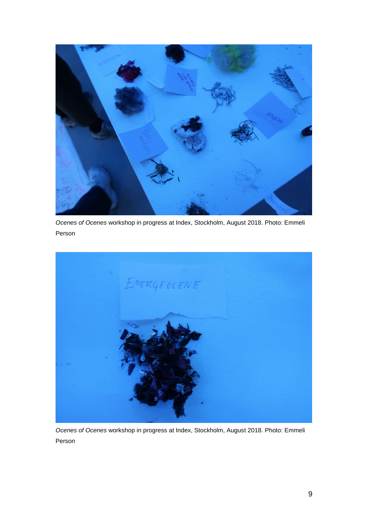

*Ocenes of Ocenes* workshop in progress at Index, Stockholm, August 2018. Photo: Emmeli Person



*Ocenes of Ocenes* workshop in progress at Index, Stockholm, August 2018. Photo: Emmeli Person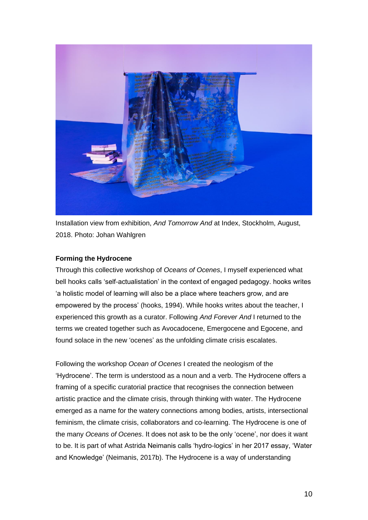

Installation view from exhibition, *And Tomorrow And* at Index, Stockholm, August, 2018. Photo: Johan Wahlgren

## **Forming the Hydrocene**

Through this collective workshop of *Oceans of Ocenes*, I myself experienced what bell hooks calls 'self-actualistation' in the context of engaged pedagogy. hooks writes 'a holistic model of learning will also be a place where teachers grow, and are empowered by the process' (hooks, 1994). While hooks writes about the teacher, I experienced this growth as a curator. Following *And Forever And* I returned to the terms we created together such as Avocadocene, Emergocene and Egocene, and found solace in the new 'ocenes' as the unfolding climate crisis escalates.

Following the workshop *Ocean of Ocenes* I created the neologism of the 'Hydrocene'. The term is understood as a noun and a verb. The Hydrocene offers a framing of a specific curatorial practice that recognises the connection between artistic practice and the climate crisis, through thinking with water. The Hydrocene emerged as a name for the watery connections among bodies, artists, intersectional feminism, the climate crisis, collaborators and co-learning. The Hydrocene is one of the many *Oceans of Ocenes*. It does not ask to be the only 'ocene', nor does it want to be. It is part of what Astrida Neimanis calls 'hydro-logics' in her 2017 essay, 'Water and Knowledge' (Neimanis, 2017b). The Hydrocene is a way of understanding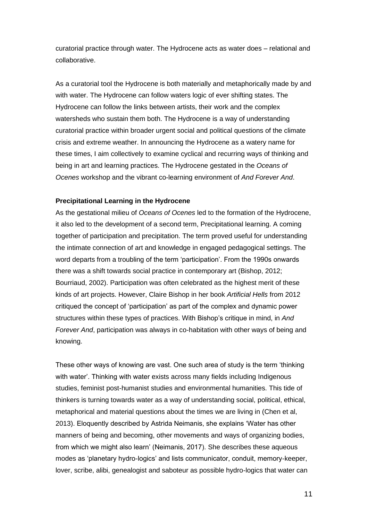curatorial practice through water. The Hydrocene acts as water does – relational and collaborative.

As a curatorial tool the Hydrocene is both materially and metaphorically made by and with water. The Hydrocene can follow waters logic of ever shifting states. The Hydrocene can follow the links between artists, their work and the complex watersheds who sustain them both. The Hydrocene is a way of understanding curatorial practice within broader urgent social and political questions of the climate crisis and extreme weather. In announcing the Hydrocene as a watery name for these times, I aim collectively to examine cyclical and recurring ways of thinking and being in art and learning practices. The Hydrocene gestated in the *Oceans of Ocenes* workshop and the vibrant co-learning environment of *And Forever And*.

#### **Precipitational Learning in the Hydrocene**

As the gestational milieu of *Oceans of Ocenes* led to the formation of the Hydrocene, it also led to the development of a second term, Precipitational learning. A coming together of participation and precipitation. The term proved useful for understanding the intimate connection of art and knowledge in engaged pedagogical settings. The word departs from a troubling of the term 'participation'. From the 1990s onwards there was a shift towards social practice in contemporary art (Bishop, 2012; Bourriaud, 2002). Participation was often celebrated as the highest merit of these kinds of art projects. However, Claire Bishop in her book *Artificial Hells* from 2012 critiqued the concept of 'participation' as part of the complex and dynamic power structures within these types of practices. With Bishop's critique in mind, in *And Forever And*, participation was always in co-habitation with other ways of being and knowing.

These other ways of knowing are vast. One such area of study is the term 'thinking with water'. Thinking with water exists across many fields including Indigenous studies, feminist post-humanist studies and environmental humanities. This tide of thinkers is turning towards water as a way of understanding social, political, ethical, metaphorical and material questions about the times we are living in (Chen et al, 2013). Eloquently described by Astrida Neimanis, she explains 'Water has other manners of being and becoming, other movements and ways of organizing bodies, from which we might also learn' (Neimanis, 2017). She describes these aqueous modes as 'planetary hydro-logics' and lists communicator, conduit, memory-keeper, lover, scribe, alibi, genealogist and saboteur as possible hydro-logics that water can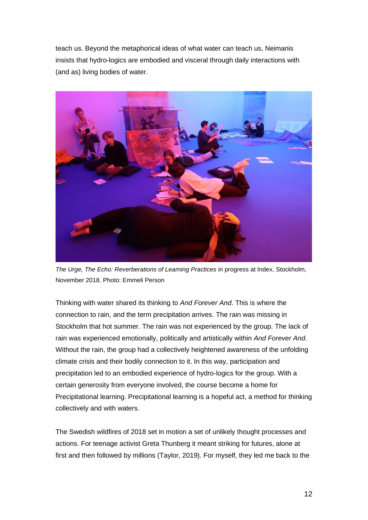teach us. Beyond the metaphorical ideas of what water can teach us, Neimanis insists that hydro-logics are embodied and visceral through daily interactions with (and as) living bodies of water.



*The Urge, The Echo: Reverberations of Learning Practices* in progress at Index, Stockholm, November 2018. Photo: Emmeli Person

Thinking with water shared its thinking to *And Forever And*. This is where the connection to rain, and the term precipitation arrives. The rain was missing in Stockholm that hot summer. The rain was not experienced by the group. The lack of rain was experienced emotionally, politically and artistically within *And Forever And*. Without the rain, the group had a collectively heightened awareness of the unfolding climate crisis and their bodily connection to it. In this way, participation and precipitation led to an embodied experience of hydro-logics for the group. With a certain generosity from everyone involved, the course become a home for Precipitational learning. Precipitational learning is a hopeful act, a method for thinking collectively and with waters.

The Swedish wildfires of 2018 set in motion a set of unlikely thought processes and actions. For teenage activist Greta Thunberg it meant striking for futures, alone at first and then followed by millions (Taylor, 2019). For myself, they led me back to the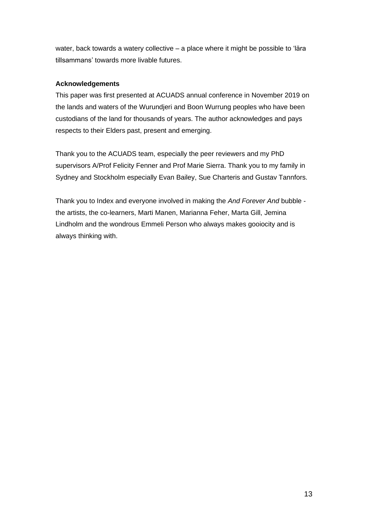water, back towards a watery collective – a place where it might be possible to 'lära tillsammans' towards more livable futures.

## **Acknowledgements**

This paper was first presented at ACUADS annual conference in November 2019 on the lands and waters of the Wurundjeri and Boon Wurrung peoples who have been custodians of the land for thousands of years. The author acknowledges and pays respects to their Elders past, present and emerging.

Thank you to the ACUADS team, especially the peer reviewers and my PhD supervisors A/Prof Felicity Fenner and Prof Marie Sierra. Thank you to my family in Sydney and Stockholm especially Evan Bailey, Sue Charteris and Gustav Tannfors.

Thank you to Index and everyone involved in making the *And Forever And* bubble the artists, the co-learners, Marti Manen, Marianna Feher, Marta Gill, Jemina Lindholm and the wondrous Emmeli Person who always makes gooiocity and is always thinking with.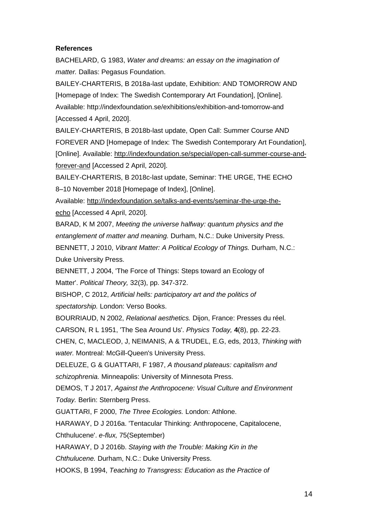#### **References**

BACHELARD, G 1983, *Water and dreams: an essay on the imagination of matter.* Dallas: Pegasus Foundation.

BAILEY-CHARTERIS, B 2018a-last update, Exhibition: AND TOMORROW AND [Homepage of Index: The Swedish Contemporary Art Foundation], [Online]. Available: http://indexfoundation.se/exhibitions/exhibition-and-tomorrow-and [Accessed 4 April, 2020].

BAILEY-CHARTERIS, B 2018b-last update, Open Call: Summer Course AND FOREVER AND [Homepage of Index: The Swedish Contemporary Art Foundation], [Online]. Available: [http://indexfoundation.se/special/open-call-summer-course-and](http://indexfoundation.se/special/open-call-summer-course-and-forever-and)[forever-and](http://indexfoundation.se/special/open-call-summer-course-and-forever-and) [Accessed 2 April, 2020].

BAILEY-CHARTERIS, B 2018c-last update, Seminar: THE URGE, THE ECHO 8–10 November 2018 [Homepage of Index], [Online].

Available: [http://indexfoundation.se/talks-and-events/seminar-the-urge-the](http://indexfoundation.se/talks-and-events/seminar-the-urge-the-echo)[echo](http://indexfoundation.se/talks-and-events/seminar-the-urge-the-echo) [Accessed 4 April, 2020].

BARAD, K M 2007, *Meeting the universe halfway: quantum physics and the entanglement of matter and meaning.* Durham, N.C.: Duke University Press. BENNETT, J 2010, *Vibrant Matter: A Political Ecology of Things.* Durham, N.C.: Duke University Press.

BENNETT, J 2004, 'The Force of Things: Steps toward an Ecology of Matter'. *Political Theory,* 32(3), pp. 347-372.

BISHOP, C 2012, *Artificial hells: participatory art and the politics of spectatorship.* London: Verso Books.

BOURRIAUD, N 2002, *Relational aesthetics.* Dijon, France: Presses du réel.

CARSON, R L 1951, 'The Sea Around Us'. *Physics Today,* **4**(8), pp. 22-23.

CHEN, C, MACLEOD, J, NEIMANIS, A & TRUDEL, E.G, eds, 2013, *Thinking with water.* Montreal: McGill-Queen's University Press.

DELEUZE, G & GUATTARI, F 1987, *A thousand plateaus: capitalism and schizophrenia.* Minneapolis: University of Minnesota Press.

DEMOS, T J 2017, *Against the Anthropocene: Visual Culture and Environment Today.* Berlin: Sternberg Press.

GUATTARI, F 2000, *The Three Ecologies.* London: Athlone.

HARAWAY, D J 2016a. 'Tentacular Thinking: Anthropocene, Capitalocene,

Chthulucene'. *e-flux,* 75(September)

HARAWAY, D J 2016b. *Staying with the Trouble: Making Kin in the* 

*Chthulucene.* Durham, N.C.: Duke University Press.

HOOKS, B 1994, *Teaching to Transgress: Education as the Practice of*